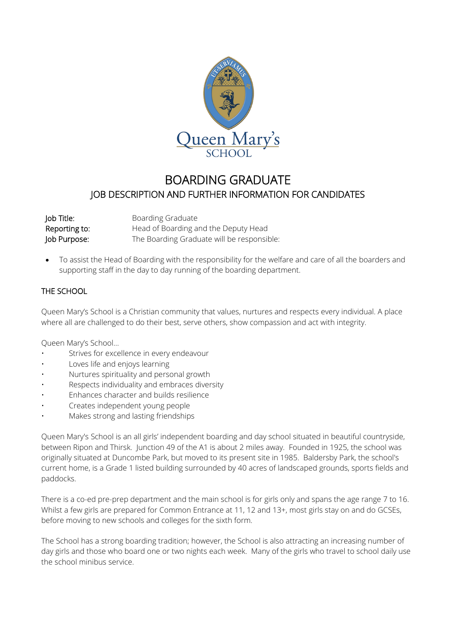

# BOARDING GRADUATE JOB DESCRIPTION AND FURTHER INFORMATION FOR CANDIDATES

| Job Title:    | <b>Boarding Graduate</b>                   |  |
|---------------|--------------------------------------------|--|
| Reporting to: | Head of Boarding and the Deputy Head       |  |
| Job Purpose:  | The Boarding Graduate will be responsible: |  |

• To assist the Head of Boarding with the responsibility for the welfare and care of all the boarders and supporting staff in the day to day running of the boarding department.

# THE SCHOOL

Queen Mary's School is a Christian community that values, nurtures and respects every individual. A place where all are challenged to do their best, serve others, show compassion and act with integrity.

Queen Mary's School…

- Strives for excellence in every endeavour
- Loves life and enjoys learning
- Nurtures spirituality and personal growth
- Respects individuality and embraces diversity
- Enhances character and builds resilience
- Creates independent young people
- Makes strong and lasting friendships

Queen Mary's School is an all girls' independent boarding and day school situated in beautiful countryside, between Ripon and Thirsk. Junction 49 of the A1 is about 2 miles away. Founded in 1925, the school was originally situated at Duncombe Park, but moved to its present site in 1985. Baldersby Park, the school's current home, is a Grade 1 listed building surrounded by 40 acres of landscaped grounds, sports fields and paddocks.

There is a co-ed pre-prep department and the main school is for girls only and spans the age range 7 to 16. Whilst a few girls are prepared for Common Entrance at 11, 12 and 13+, most girls stay on and do GCSEs, before moving to new schools and colleges for the sixth form.

The School has a strong boarding tradition; however, the School is also attracting an increasing number of day girls and those who board one or two nights each week. Many of the girls who travel to school daily use the school minibus service.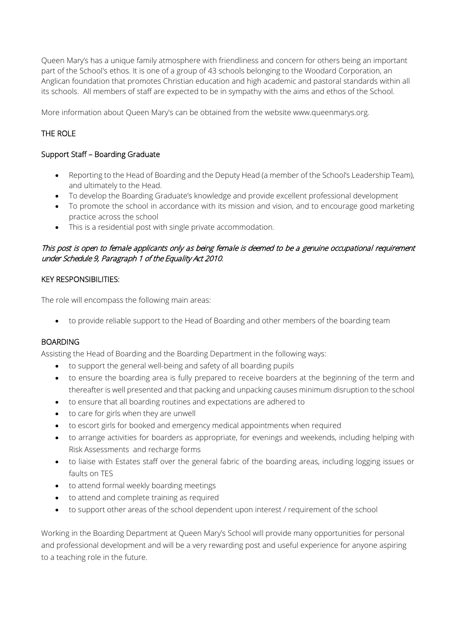Queen Mary's has a unique family atmosphere with friendliness and concern for others being an important part of the School's ethos. It is one of a group of 43 schools belonging to the Woodard Corporation, an Anglican foundation that promotes Christian education and high academic and pastoral standards within all its schools. All members of staff are expected to be in sympathy with the aims and ethos of the School.

More information about Queen Mary's can be obtained from the website www.queenmarys.org.

# THE ROLE

#### Support Staff – Boarding Graduate

- Reporting to the Head of Boarding and the Deputy Head (a member of the School's Leadership Team), and ultimately to the Head.
- To develop the Boarding Graduate's knowledge and provide excellent professional development
- To promote the school in accordance with its mission and vision, and to encourage good marketing practice across the school
- This is a residential post with single private accommodation.

## This post is open to female applicants only as being female is deemed to be a genuine occupational requirement under Schedule 9, Paragraph 1 of the Equality Act 2010.

#### KEY RESPONSIBILITIES:

The role will encompass the following main areas:

• to provide reliable support to the Head of Boarding and other members of the boarding team

#### BOARDING

Assisting the Head of Boarding and the Boarding Department in the following ways:

- to support the general well-being and safety of all boarding pupils
- to ensure the boarding area is fully prepared to receive boarders at the beginning of the term and thereafter is well presented and that packing and unpacking causes minimum disruption to the school
- to ensure that all boarding routines and expectations are adhered to
- to care for girls when they are unwell
- to escort girls for booked and emergency medical appointments when required
- to arrange activities for boarders as appropriate, for evenings and weekends, including helping with Risk Assessments and recharge forms
- to liaise with Estates staff over the general fabric of the boarding areas, including logging issues or faults on TES
- to attend formal weekly boarding meetings
- to attend and complete training as required
- to support other areas of the school dependent upon interest / requirement of the school

Working in the Boarding Department at Queen Mary's School will provide many opportunities for personal and professional development and will be a very rewarding post and useful experience for anyone aspiring to a teaching role in the future.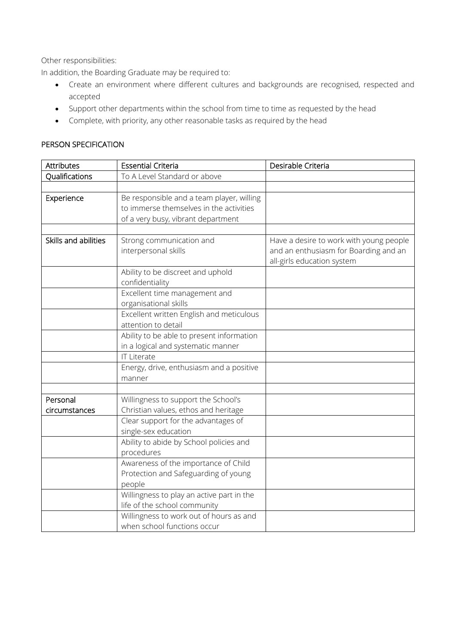Other responsibilities:

In addition, the Boarding Graduate may be required to:

- Create an environment where different cultures and backgrounds are recognised, respected and accepted
- Support other departments within the school from time to time as requested by the head
- Complete, with priority, any other reasonable tasks as required by the head

#### PERSON SPECIFICATION

| <b>Attributes</b>    | <b>Essential Criteria</b>                                                                                                  | Desirable Criteria                                                                                             |
|----------------------|----------------------------------------------------------------------------------------------------------------------------|----------------------------------------------------------------------------------------------------------------|
| Qualifications       | To A Level Standard or above                                                                                               |                                                                                                                |
|                      |                                                                                                                            |                                                                                                                |
| Experience           | Be responsible and a team player, willing<br>to immerse themselves in the activities<br>of a very busy, vibrant department |                                                                                                                |
|                      |                                                                                                                            |                                                                                                                |
| Skills and abilities | Strong communication and<br>interpersonal skills                                                                           | Have a desire to work with young people<br>and an enthusiasm for Boarding and an<br>all-girls education system |
|                      | Ability to be discreet and uphold<br>confidentiality                                                                       |                                                                                                                |
|                      | Excellent time management and<br>organisational skills                                                                     |                                                                                                                |
|                      | Excellent written English and meticulous<br>attention to detail                                                            |                                                                                                                |
|                      | Ability to be able to present information<br>in a logical and systematic manner                                            |                                                                                                                |
|                      | <b>IT Literate</b>                                                                                                         |                                                                                                                |
|                      | Energy, drive, enthusiasm and a positive<br>manner                                                                         |                                                                                                                |
|                      |                                                                                                                            |                                                                                                                |
| Personal             | Willingness to support the School's                                                                                        |                                                                                                                |
| circumstances        | Christian values, ethos and heritage                                                                                       |                                                                                                                |
|                      | Clear support for the advantages of<br>single-sex education                                                                |                                                                                                                |
|                      | Ability to abide by School policies and<br>procedures                                                                      |                                                                                                                |
|                      | Awareness of the importance of Child<br>Protection and Safeguarding of young<br>people                                     |                                                                                                                |
|                      | Willingness to play an active part in the<br>life of the school community                                                  |                                                                                                                |
|                      | Willingness to work out of hours as and<br>when school functions occur                                                     |                                                                                                                |